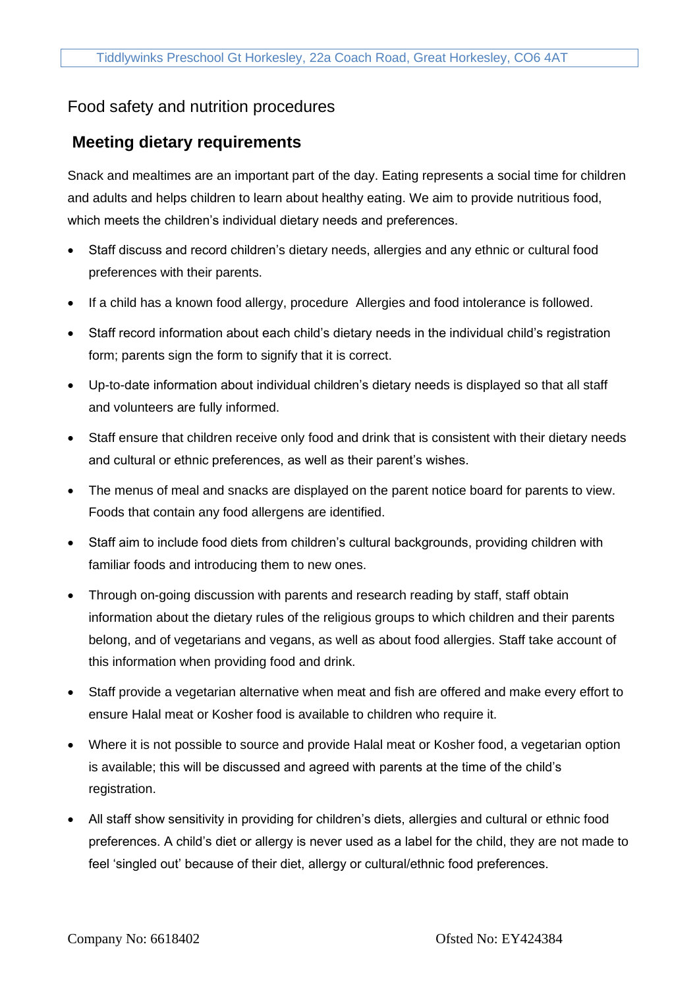## Food safety and nutrition procedures

## **Meeting dietary requirements**

Snack and mealtimes are an important part of the day. Eating represents a social time for children and adults and helps children to learn about healthy eating. We aim to provide nutritious food, which meets the children's individual dietary needs and preferences.

- Staff discuss and record children's dietary needs, allergies and any ethnic or cultural food preferences with their parents.
- If a child has a known food allergy, procedure Allergies and food intolerance is followed.
- Staff record information about each child's dietary needs in the individual child's registration form; parents sign the form to signify that it is correct.
- Up-to-date information about individual children's dietary needs is displayed so that all staff and volunteers are fully informed.
- Staff ensure that children receive only food and drink that is consistent with their dietary needs and cultural or ethnic preferences, as well as their parent's wishes.
- The menus of meal and snacks are displayed on the parent notice board for parents to view. Foods that contain any food allergens are identified.
- Staff aim to include food diets from children's cultural backgrounds, providing children with familiar foods and introducing them to new ones.
- Through on-going discussion with parents and research reading by staff, staff obtain information about the dietary rules of the religious groups to which children and their parents belong, and of vegetarians and vegans, as well as about food allergies. Staff take account of this information when providing food and drink.
- Staff provide a vegetarian alternative when meat and fish are offered and make every effort to ensure Halal meat or Kosher food is available to children who require it.
- Where it is not possible to source and provide Halal meat or Kosher food, a vegetarian option is available; this will be discussed and agreed with parents at the time of the child's registration.
- All staff show sensitivity in providing for children's diets, allergies and cultural or ethnic food preferences. A child's diet or allergy is never used as a label for the child, they are not made to feel 'singled out' because of their diet, allergy or cultural/ethnic food preferences.